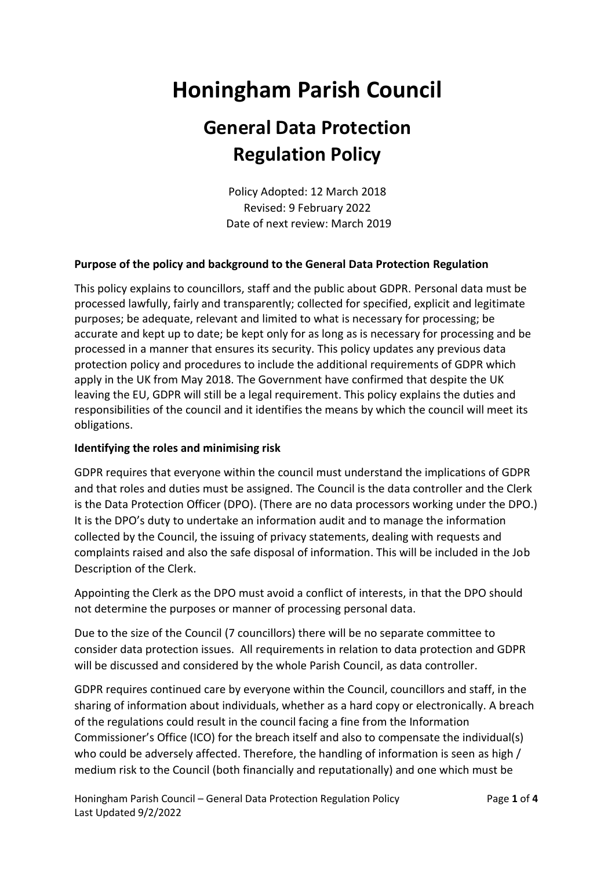# **Honingham Parish Council**

# **General Data Protection Regulation Policy**

Policy Adopted: 12 March 2018 Revised: 9 February 2022 Date of next review: March 2019

# **Purpose of the policy and background to the General Data Protection Regulation**

This policy explains to councillors, staff and the public about GDPR. Personal data must be processed lawfully, fairly and transparently; collected for specified, explicit and legitimate purposes; be adequate, relevant and limited to what is necessary for processing; be accurate and kept up to date; be kept only for as long as is necessary for processing and be processed in a manner that ensures its security. This policy updates any previous data protection policy and procedures to include the additional requirements of GDPR which apply in the UK from May 2018. The Government have confirmed that despite the UK leaving the EU, GDPR will still be a legal requirement. This policy explains the duties and responsibilities of the council and it identifies the means by which the council will meet its obligations.

#### **Identifying the roles and minimising risk**

GDPR requires that everyone within the council must understand the implications of GDPR and that roles and duties must be assigned. The Council is the data controller and the Clerk is the Data Protection Officer (DPO). (There are no data processors working under the DPO.) It is the DPO's duty to undertake an information audit and to manage the information collected by the Council, the issuing of privacy statements, dealing with requests and complaints raised and also the safe disposal of information. This will be included in the Job Description of the Clerk.

Appointing the Clerk as the DPO must avoid a conflict of interests, in that the DPO should not determine the purposes or manner of processing personal data.

Due to the size of the Council (7 councillors) there will be no separate committee to consider data protection issues. All requirements in relation to data protection and GDPR will be discussed and considered by the whole Parish Council, as data controller.

GDPR requires continued care by everyone within the Council, councillors and staff, in the sharing of information about individuals, whether as a hard copy or electronically. A breach of the regulations could result in the council facing a fine from the Information Commissioner's Office (ICO) for the breach itself and also to compensate the individual(s) who could be adversely affected. Therefore, the handling of information is seen as high / medium risk to the Council (both financially and reputationally) and one which must be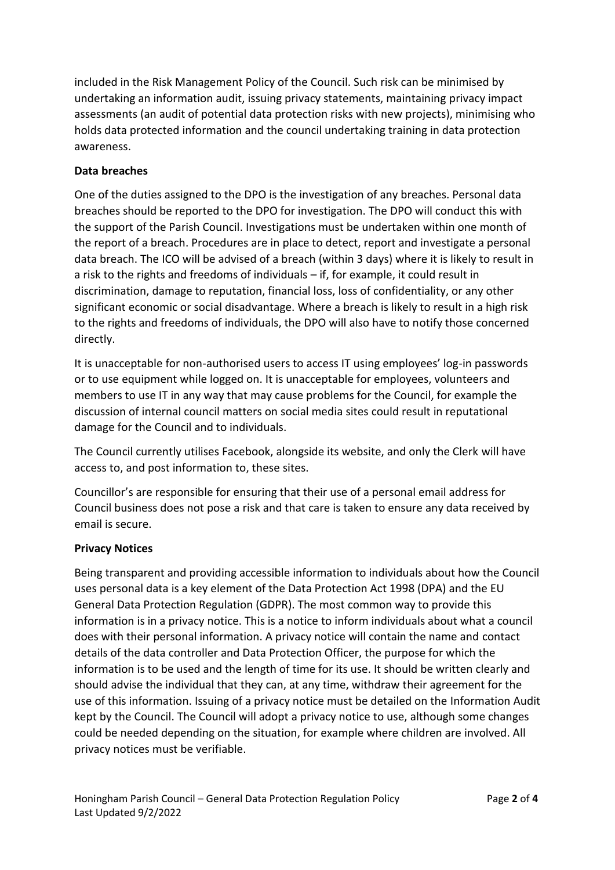included in the Risk Management Policy of the Council. Such risk can be minimised by undertaking an information audit, issuing privacy statements, maintaining privacy impact assessments (an audit of potential data protection risks with new projects), minimising who holds data protected information and the council undertaking training in data protection awareness.

# **Data breaches**

One of the duties assigned to the DPO is the investigation of any breaches. Personal data breaches should be reported to the DPO for investigation. The DPO will conduct this with the support of the Parish Council. Investigations must be undertaken within one month of the report of a breach. Procedures are in place to detect, report and investigate a personal data breach. The ICO will be advised of a breach (within 3 days) where it is likely to result in a risk to the rights and freedoms of individuals – if, for example, it could result in discrimination, damage to reputation, financial loss, loss of confidentiality, or any other significant economic or social disadvantage. Where a breach is likely to result in a high risk to the rights and freedoms of individuals, the DPO will also have to notify those concerned directly.

It is unacceptable for non-authorised users to access IT using employees' log-in passwords or to use equipment while logged on. It is unacceptable for employees, volunteers and members to use IT in any way that may cause problems for the Council, for example the discussion of internal council matters on social media sites could result in reputational damage for the Council and to individuals.

The Council currently utilises Facebook, alongside its website, and only the Clerk will have access to, and post information to, these sites.

Councillor's are responsible for ensuring that their use of a personal email address for Council business does not pose a risk and that care is taken to ensure any data received by email is secure.

# **Privacy Notices**

Being transparent and providing accessible information to individuals about how the Council uses personal data is a key element of the Data Protection Act 1998 (DPA) and the EU General Data Protection Regulation (GDPR). The most common way to provide this information is in a privacy notice. This is a notice to inform individuals about what a council does with their personal information. A privacy notice will contain the name and contact details of the data controller and Data Protection Officer, the purpose for which the information is to be used and the length of time for its use. It should be written clearly and should advise the individual that they can, at any time, withdraw their agreement for the use of this information. Issuing of a privacy notice must be detailed on the Information Audit kept by the Council. The Council will adopt a privacy notice to use, although some changes could be needed depending on the situation, for example where children are involved. All privacy notices must be verifiable.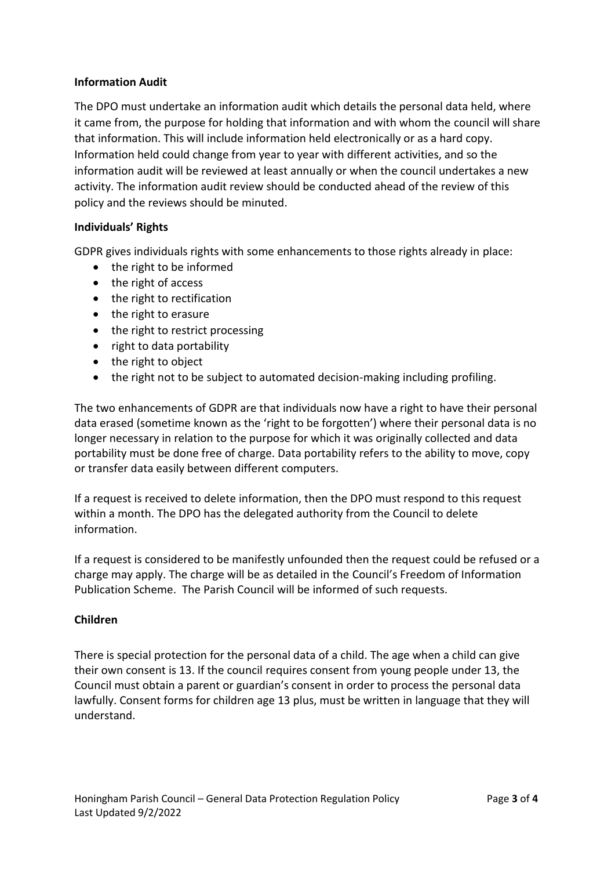#### **Information Audit**

The DPO must undertake an information audit which details the personal data held, where it came from, the purpose for holding that information and with whom the council will share that information. This will include information held electronically or as a hard copy. Information held could change from year to year with different activities, and so the information audit will be reviewed at least annually or when the council undertakes a new activity. The information audit review should be conducted ahead of the review of this policy and the reviews should be minuted.

#### **Individuals' Rights**

GDPR gives individuals rights with some enhancements to those rights already in place:

- the right to be informed
- the right of access
- the right to rectification
- the right to erasure
- the right to restrict processing
- right to data portability
- the right to object
- the right not to be subject to automated decision-making including profiling.

The two enhancements of GDPR are that individuals now have a right to have their personal data erased (sometime known as the 'right to be forgotten') where their personal data is no longer necessary in relation to the purpose for which it was originally collected and data portability must be done free of charge. Data portability refers to the ability to move, copy or transfer data easily between different computers.

If a request is received to delete information, then the DPO must respond to this request within a month. The DPO has the delegated authority from the Council to delete information.

If a request is considered to be manifestly unfounded then the request could be refused or a charge may apply. The charge will be as detailed in the Council's Freedom of Information Publication Scheme. The Parish Council will be informed of such requests.

#### **Children**

There is special protection for the personal data of a child. The age when a child can give their own consent is 13. If the council requires consent from young people under 13, the Council must obtain a parent or guardian's consent in order to process the personal data lawfully. Consent forms for children age 13 plus, must be written in language that they will understand.